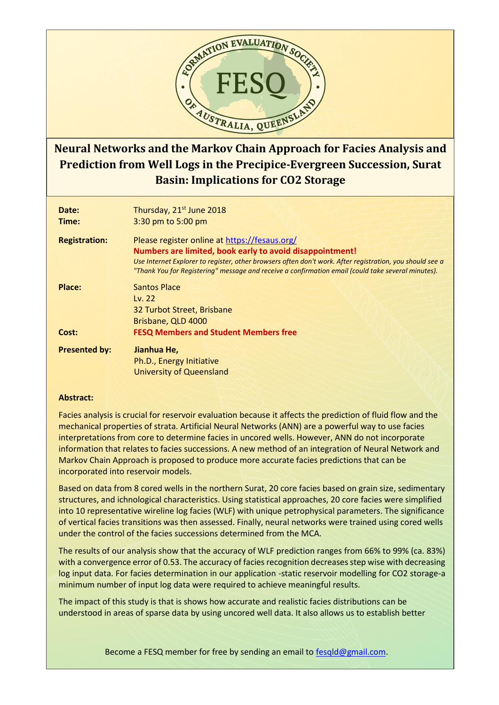

## **Neural Networks and the Markov Chain Approach for Facies Analysis and Prediction from Well Logs in the Precipice-Evergreen Succession, Surat Basin: Implications for CO2 Storage**

| Date:<br>Time:       | Thursday, 21 <sup>st</sup> June 2018<br>3:30 pm to 5:00 pm                                                                                                                                                                                                                                                                  |
|----------------------|-----------------------------------------------------------------------------------------------------------------------------------------------------------------------------------------------------------------------------------------------------------------------------------------------------------------------------|
| <b>Registration:</b> | Please register online at https://fesaus.org/<br>Numbers are limited, book early to avoid disappointment!<br>Use Internet Explorer to register, other browsers often don't work. After registration, you should see a<br>"Thank You for Registering" message and receive a confirmation email (could take several minutes). |
| Place:               | <b>Santos Place</b><br>Lv. $22$<br>32 Turbot Street, Brisbane<br>Brisbane, QLD 4000                                                                                                                                                                                                                                         |
| Cost:                | <b>FESQ Members and Student Members free</b>                                                                                                                                                                                                                                                                                |
| <b>Presented by:</b> | Jianhua He,<br>Ph.D., Energy Initiative<br><b>University of Queensland</b>                                                                                                                                                                                                                                                  |

## **Abstract:**

Facies analysis is crucial for reservoir evaluation because it affects the prediction of fluid flow and the mechanical properties of strata. Artificial Neural Networks (ANN) are a powerful way to use facies interpretations from core to determine facies in uncored wells. However, ANN do not incorporate information that relates to facies successions. A new method of an integration of Neural Network and Markov Chain Approach is proposed to produce more accurate facies predictions that can be incorporated into reservoir models.

Based on data from 8 cored wells in the northern Surat, 20 core facies based on grain size, sedimentary structures, and ichnological characteristics. Using statistical approaches, 20 core facies were simplified into 10 representative wireline log facies (WLF) with unique petrophysical parameters. The significance of vertical facies transitions was then assessed. Finally, neural networks were trained using cored wells under the control of the facies successions determined from the MCA.

The results of our analysis show that the accuracy of WLF prediction ranges from 66% to 99% (ca. 83%) with a convergence error of 0.53. The accuracy of facies recognition decreases step wise with decreasing log input data. For facies determination in our application -static reservoir modelling for CO2 storage-a minimum number of input log data were required to achieve meaningful results.

The impact of this study is that is shows how accurate and realistic facies distributions can be understood in areas of sparse data by using uncored well data. It also allows us to establish better

Become a FESQ member for free by sending an email to [fesqld@gmail.com.](mailto:fesqld@gmail.com)